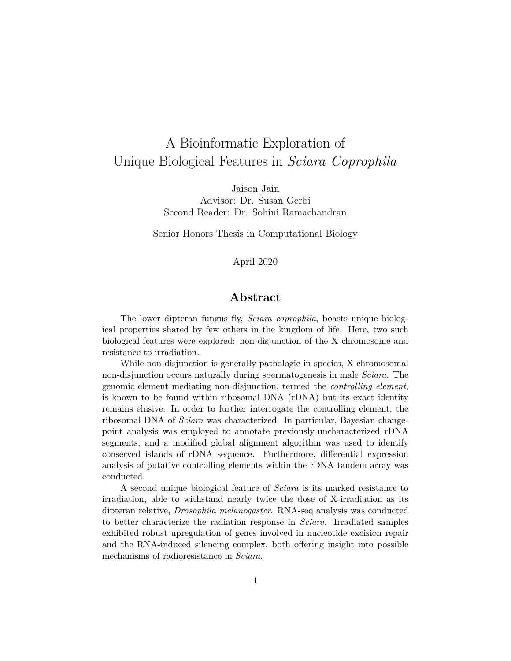# A Bioinformatic Exploration of Unique Biological Features in *Sciara Coprophila*

Jaison Jain Advisor: Dr. Susan Gerbi Second Reader: Dr. Sohini Ramachandran

Senior Honors Thesis in Computational Biology

## April 2020

## **Abstract**

The lower dipteran fungus fly, *Sciara coprophila*, boasts unique biological properties shared by few others in the kingdom of life. Here, two such biological features were explored: non-disjunction of the X chromosome and resistance to irradiation.

While non-disjunction is generally pathologic in species, X chromosomal non-disjunction occurs naturally during spermatogenesis in male *Sciara*. The genomic element mediating non-disjunction, termed the *controlling element*, is known to be found within ribosomal DNA (rDNA) but its exact identity remains elusive. In order to further interrogate the controlling element, the ribosomal DNA of *Sciara* was characterized. In particular, Bayesian changepoint analysis was employed to annotate previously-uncharacterized rDNA segments, and a modified global alignment algorithm was used to identify conserved islands of rDNA sequence. Furthermore, differential expression analysis of putative controlling elements within the rDNA tandem array was conducted.

A second unique biological feature of *Sciara* is its marked resistance to irradiation, able to withstand nearly twice the dose of X-irradiation as its dipteran relative, *Drosophila melanogaster*. RNA-seq analysis was conducted to better characterize the radiation response in *Sciara*. Irradiated samples exhibited robust upregulation of genes involved in nucleotide excision repair and the RNA-induced silencing complex, both offering insight into possible mechanisms of radioresistance in *Sciara*.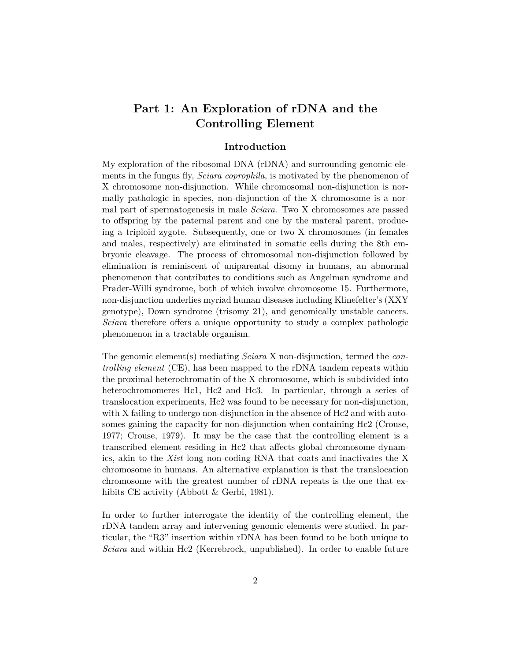## **Part 1: An Exploration of rDNA and the Controlling Element**

## **Introduction**

My exploration of the ribosomal DNA (rDNA) and surrounding genomic elements in the fungus fly, *Sciara coprophila*, is motivated by the phenomenon of X chromosome non-disjunction. While chromosomal non-disjunction is normally pathologic in species, non-disjunction of the X chromosome is a normal part of spermatogenesis in male *Sciara*. Two X chromosomes are passed to offspring by the paternal parent and one by the materal parent, producing a triploid zygote. Subsequently, one or two X chromosomes (in females and males, respectively) are eliminated in somatic cells during the 8th embryonic cleavage. The process of chromosomal non-disjunction followed by elimination is reminiscent of uniparental disomy in humans, an abnormal phenomenon that contributes to conditions such as Angelman syndrome and Prader-Willi syndrome, both of which involve chromosome 15. Furthermore, non-disjunction underlies myriad human diseases including Klinefelter's (XXY genotype), Down syndrome (trisomy 21), and genomically unstable cancers. *Sciara* therefore offers a unique opportunity to study a complex pathologic phenomenon in a tractable organism.

The genomic element(s) mediating *Sciara* X non-disjunction, termed the *controlling element* (CE), has been mapped to the rDNA tandem repeats within the proximal heterochromatin of the X chromosome, which is subdivided into heterochromomeres Hc1, Hc2 and Hc3. In particular, through a series of translocation experiments, Hc2 was found to be necessary for non-disjunction, with X failing to undergo non-disjunction in the absence of Hc2 and with autosomes gaining the capacity for non-disjunction when containing Hc2 (Crouse, 1977; Crouse, 1979). It may be the case that the controlling element is a transcribed element residing in Hc2 that affects global chromosome dynamics, akin to the *Xist* long non-coding RNA that coats and inactivates the X chromosome in humans. An alternative explanation is that the translocation chromosome with the greatest number of rDNA repeats is the one that exhibits CE activity (Abbott & Gerbi, 1981).

In order to further interrogate the identity of the controlling element, the rDNA tandem array and intervening genomic elements were studied. In particular, the "R3" insertion within rDNA has been found to be both unique to *Sciara* and within Hc2 (Kerrebrock, unpublished). In order to enable future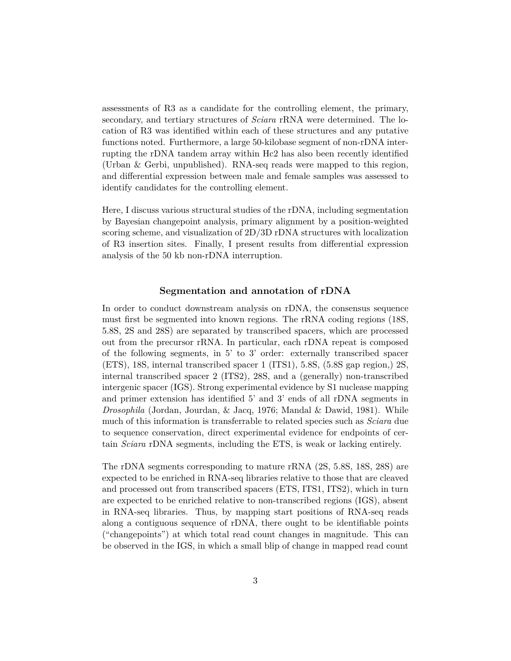assessments of R3 as a candidate for the controlling element, the primary, secondary, and tertiary structures of *Sciara* rRNA were determined. The location of R3 was identified within each of these structures and any putative functions noted. Furthermore, a large 50-kilobase segment of non-rDNA interrupting the rDNA tandem array within Hc2 has also been recently identified (Urban & Gerbi, unpublished). RNA-seq reads were mapped to this region, and differential expression between male and female samples was assessed to identify candidates for the controlling element.

Here, I discuss various structural studies of the rDNA, including segmentation by Bayesian changepoint analysis, primary alignment by a position-weighted scoring scheme, and visualization of 2D/3D rDNA structures with localization of R3 insertion sites. Finally, I present results from differential expression analysis of the 50 kb non-rDNA interruption.

#### **Segmentation and annotation of rDNA**

In order to conduct downstream analysis on rDNA, the consensus sequence must first be segmented into known regions. The rRNA coding regions (18S, 5.8S, 2S and 28S) are separated by transcribed spacers, which are processed out from the precursor rRNA. In particular, each rDNA repeat is composed of the following segments, in 5' to 3' order: externally transcribed spacer (ETS), 18S, internal transcribed spacer 1 (ITS1), 5.8S, (5.8S gap region,) 2S, internal transcribed spacer 2 (ITS2), 28S, and a (generally) non-transcribed intergenic spacer (IGS). Strong experimental evidence by S1 nuclease mapping and primer extension has identified 5' and 3' ends of all rDNA segments in *Drosophila* (Jordan, Jourdan, & Jacq, 1976; Mandal & Dawid, 1981). While much of this information is transferrable to related species such as *Sciara* due to sequence conservation, direct experimental evidence for endpoints of certain *Sciara* rDNA segments, including the ETS, is weak or lacking entirely.

The rDNA segments corresponding to mature rRNA (2S, 5.8S, 18S, 28S) are expected to be enriched in RNA-seq libraries relative to those that are cleaved and processed out from transcribed spacers (ETS, ITS1, ITS2), which in turn are expected to be enriched relative to non-transcribed regions (IGS), absent in RNA-seq libraries. Thus, by mapping start positions of RNA-seq reads along a contiguous sequence of rDNA, there ought to be identifiable points ("changepoints") at which total read count changes in magnitude. This can be observed in the IGS, in which a small blip of change in mapped read count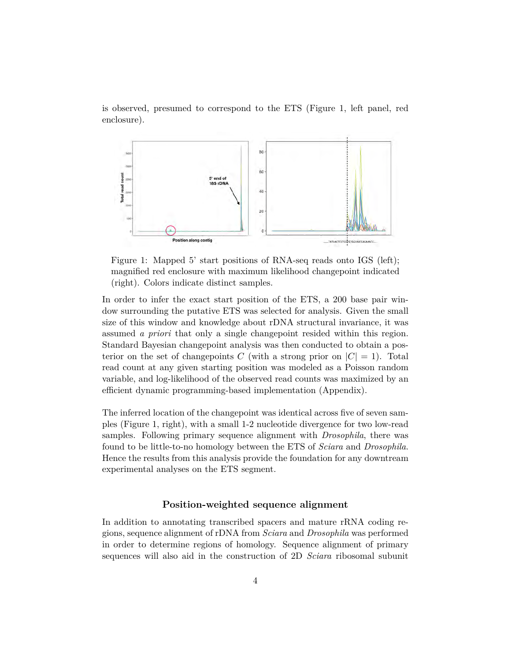is observed, presumed to correspond to the ETS (Figure 1, left panel, red enclosure).



Figure 1: Mapped 5' start positions of RNA-seq reads onto IGS (left); magnified red enclosure with maximum likelihood changepoint indicated (right). Colors indicate distinct samples.

In order to infer the exact start position of the ETS, a 200 base pair window surrounding the putative ETS was selected for analysis. Given the small size of this window and knowledge about rDNA structural invariance, it was assumed *a priori* that only a single changepoint resided within this region. Standard Bayesian changepoint analysis was then conducted to obtain a posterior on the set of changepoints *C* (with a strong prior on  $|C| = 1$ ). Total read count at any given starting position was modeled as a Poisson random variable, and log-likelihood of the observed read counts was maximized by an efficient dynamic programming-based implementation (Appendix).

The inferred location of the changepoint was identical across five of seven samples (Figure 1, right), with a small 1-2 nucleotide divergence for two low-read samples. Following primary sequence alignment with *Drosophila*, there was found to be little-to-no homology between the ETS of *Sciara* and *Drosophila*. Hence the results from this analysis provide the foundation for any downtream experimental analyses on the ETS segment.

## **Position-weighted sequence alignment**

In addition to annotating transcribed spacers and mature rRNA coding regions, sequence alignment of rDNA from *Sciara* and *Drosophila* was performed in order to determine regions of homology. Sequence alignment of primary sequences will also aid in the construction of 2D *Sciara* ribosomal subunit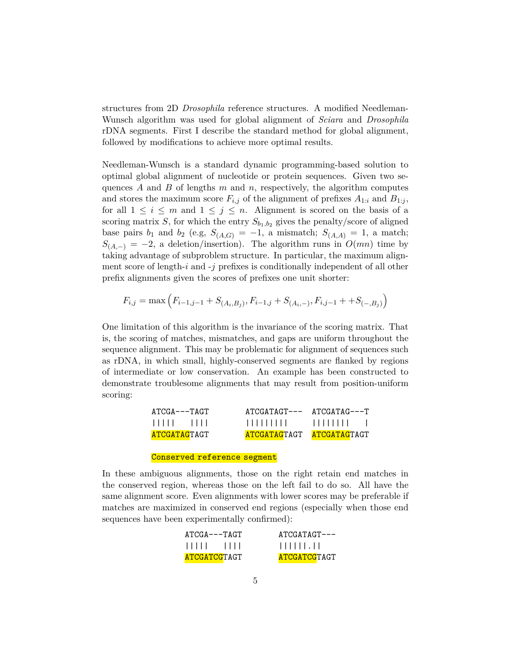structures from 2D *Drosophila* reference structures. A modified Needleman-Wunsch algorithm was used for global alignment of *Sciara* and *Drosophila* rDNA segments. First I describe the standard method for global alignment, followed by modifications to achieve more optimal results.

Needleman-Wunsch is a standard dynamic programming-based solution to optimal global alignment of nucleotide or protein sequences. Given two sequences *A* and *B* of lengths *m* and *n*, respectively, the algorithm computes and stores the maximum score  $F_{i,j}$  of the alignment of prefixes  $A_{1:i}$  and  $B_{1:j}$ , for all  $1 \leq i \leq m$  and  $1 \leq j \leq n$ . Alignment is scored on the basis of a scoring matrix *S*, for which the entry  $S_{b_1,b_2}$  gives the penalty/score of aligned base pairs  $b_1$  and  $b_2$  (e.g,  $S_{(A,G)} = -1$ , a mismatch;  $S_{(A,A)} = 1$ , a match;  $S_{(A,-)} = -2$ , a deletion/insertion). The algorithm runs in  $O(mn)$  time by taking advantage of subproblem structure. In particular, the maximum alignment score of length-*i* and -*j* prefixes is conditionally independent of all other prefix alignments given the scores of prefixes one unit shorter:

$$
F_{i,j} = \max\left(F_{i-1,j-1} + S_{(A_i,B_j)}, F_{i-1,j} + S_{(A_i,-)}, F_{i,j-1} + S_{(-,B_j)}\right)
$$

One limitation of this algorithm is the invariance of the scoring matrix. That is, the scoring of matches, mismatches, and gaps are uniform throughout the sequence alignment. This may be problematic for alignment of sequences such as rDNA, in which small, highly-conserved segments are flanked by regions of intermediate or low conservation. An example has been constructed to demonstrate troublesome alignments that may result from position-uniform scoring:

| $ATCGA---TAGT$ | ATCGATAGT--- | $\text{ATCGATAG}\text{-}\text{-}\text{-}\text{T}$ |
|----------------|--------------|---------------------------------------------------|
| $11111 - 1111$ |              |                                                   |
| ATCGATAGTAGT   | ATCGATAGTAGT | ATCGATAGTAGT                                      |

#### Conserved reference segment

In these ambiguous alignments, those on the right retain end matches in the conserved region, whereas those on the left fail to do so. All have the same alignment score. Even alignments with lower scores may be preferable if matches are maximized in conserved end regions (especially when those end sequences have been experimentally confirmed):

| $ATCGA---TAGT$      | $ATCGATAGT---$                                                      |
|---------------------|---------------------------------------------------------------------|
| $11111 - 1111$      | $\  \cdot \  \cdot \  \cdot \  \cdot \  \cdot \  \cdot \  \cdot \ $ |
| <b>ATCGATCGTAGT</b> | <b>ATCGATCGTAGT</b>                                                 |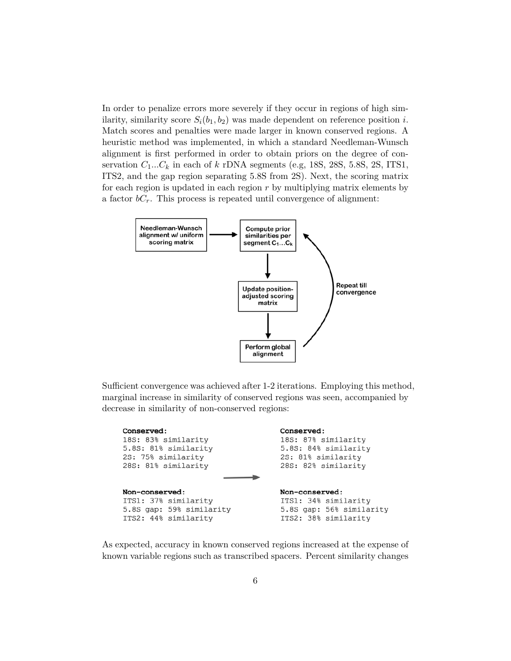In order to penalize errors more severely if they occur in regions of high similarity, similarity score  $S_i(b_1, b_2)$  was made dependent on reference position *i*. Match scores and penalties were made larger in known conserved regions. A heuristic method was implemented, in which a standard Needleman-Wunsch alignment is first performed in order to obtain priors on the degree of conservation  $C_1...C_k$  in each of  $k$  rDNA segments (e.g, 18S, 28S, 5.8S, 2S, ITS1, ITS2, and the gap region separating 5.8S from 2S). Next, the scoring matrix for each region is updated in each region *r* by multiplying matrix elements by a factor  $bC_r$ . This process is repeated until convergence of alignment:



Sufficient convergence was achieved after 1-2 iterations. Employing this method, marginal increase in similarity of conserved regions was seen, accompanied by decrease in similarity of non-conserved regions:

| Conserved:               | Conserved:               |
|--------------------------|--------------------------|
| 18S: 83% similarity      | 18S: 87% similarity      |
| 5.8S: 81% similarity     | 5.8S: 84% similarity     |
| 2S: 75% similarity       | 2S: 81% similarity       |
| 28S: 81% similarity      | 28S: 82% similarity      |
| Non-conserved:           | Non-conserved:           |
| ITS1: 37% similarity     | ITS1: 34% similarity     |
| 5.8S gap: 59% similarity | 5.8S gap: 56% similarity |
| ITS2: 44% similarity     | ITS2: 38% similarity     |

As expected, accuracy in known conserved regions increased at the expense of known variable regions such as transcribed spacers. Percent similarity changes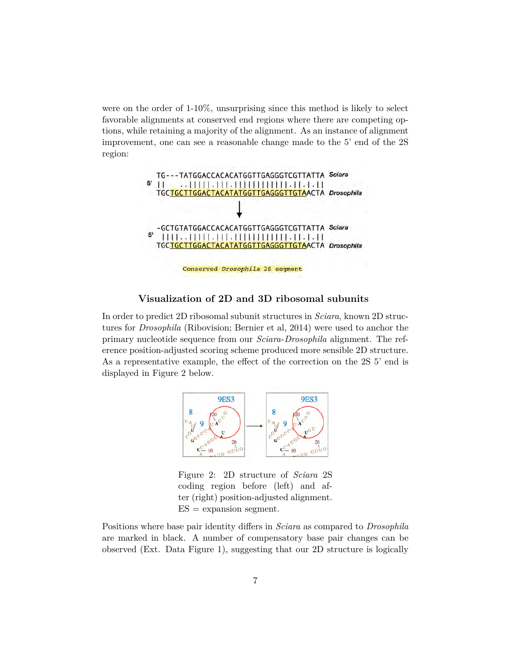were on the order of 1-10%, unsurprising since this method is likely to select favorable alignments at conserved end regions where there are competing options, while retaining a majority of the alignment. As an instance of alignment improvement, one can see a reasonable change made to the 5' end of the 2S region:



#### **Visualization of 2D and 3D ribosomal subunits**

In order to predict 2D ribosomal subunit structures in *Sciara*, known 2D structures for *Drosophila* (Ribovision; Bernier et al, 2014) were used to anchor the primary nucleotide sequence from our *Sciara*-*Drosophila* alignment. The reference position-adjusted scoring scheme produced more sensible 2D structure. As a representative example, the effect of the correction on the 2S 5' end is displayed in Figure 2 below.



Figure 2: 2D structure of *Sciara* 2S coding region before (left) and after (right) position-adjusted alignment.  $ES =$  expansion segment.

Positions where base pair identity differs in *Sciara* as compared to *Drosophila* are marked in black. A number of compensatory base pair changes can be observed (Ext. Data Figure 1), suggesting that our 2D structure is logically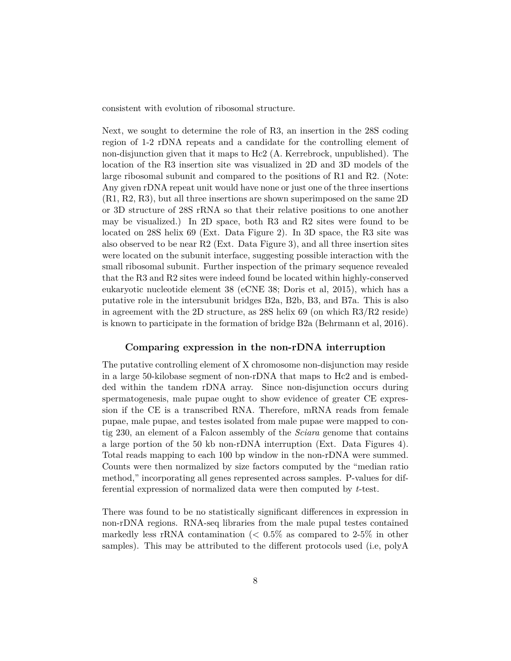consistent with evolution of ribosomal structure.

Next, we sought to determine the role of R3, an insertion in the 28S coding region of 1-2 rDNA repeats and a candidate for the controlling element of non-disjunction given that it maps to Hc2 (A. Kerrebrock, unpublished). The location of the R3 insertion site was visualized in 2D and 3D models of the large ribosomal subunit and compared to the positions of R1 and R2. (Note: Any given rDNA repeat unit would have none or just one of the three insertions (R1, R2, R3), but all three insertions are shown superimposed on the same 2D or 3D structure of 28S rRNA so that their relative positions to one another may be visualized.) In 2D space, both R3 and R2 sites were found to be located on 28S helix 69 (Ext. Data Figure 2). In 3D space, the R3 site was also observed to be near R2 (Ext. Data Figure 3), and all three insertion sites were located on the subunit interface, suggesting possible interaction with the small ribosomal subunit. Further inspection of the primary sequence revealed that the R3 and R2 sites were indeed found be located within highly-conserved eukaryotic nucleotide element 38 (eCNE 38; Doris et al, 2015), which has a putative role in the intersubunit bridges B2a, B2b, B3, and B7a. This is also in agreement with the 2D structure, as 28S helix 69 (on which R3/R2 reside) is known to participate in the formation of bridge B2a (Behrmann et al, 2016).

#### **Comparing expression in the non-rDNA interruption**

The putative controlling element of X chromosome non-disjunction may reside in a large 50-kilobase segment of non-rDNA that maps to Hc2 and is embedded within the tandem rDNA array. Since non-disjunction occurs during spermatogenesis, male pupae ought to show evidence of greater CE expression if the CE is a transcribed RNA. Therefore, mRNA reads from female pupae, male pupae, and testes isolated from male pupae were mapped to contig 230, an element of a Falcon assembly of the *Sciara* genome that contains a large portion of the 50 kb non-rDNA interruption (Ext. Data Figures 4). Total reads mapping to each 100 bp window in the non-rDNA were summed. Counts were then normalized by size factors computed by the "median ratio method," incorporating all genes represented across samples. P-values for differential expression of normalized data were then computed by *t*-test.

There was found to be no statistically significant differences in expression in non-rDNA regions. RNA-seq libraries from the male pupal testes contained markedly less rRNA contamination (*<* 0*.*5% as compared to 2-5% in other samples). This may be attributed to the different protocols used (i.e, polyA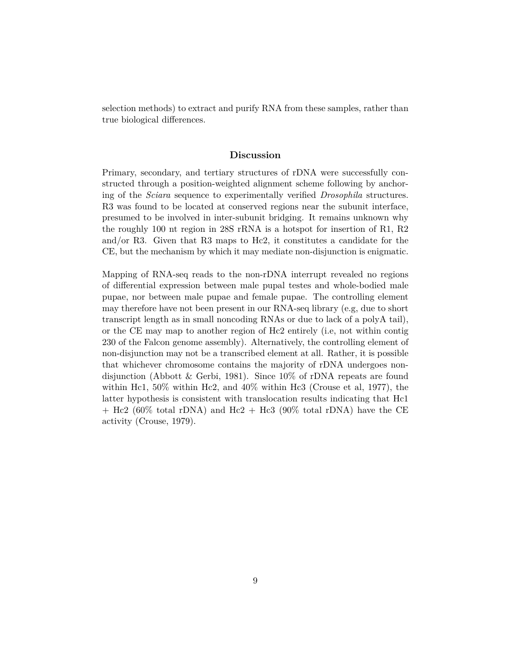selection methods) to extract and purify RNA from these samples, rather than true biological differences.

#### **Discussion**

Primary, secondary, and tertiary structures of rDNA were successfully constructed through a position-weighted alignment scheme following by anchoring of the *Sciara* sequence to experimentally verified *Drosophila* structures. R3 was found to be located at conserved regions near the subunit interface, presumed to be involved in inter-subunit bridging. It remains unknown why the roughly 100 nt region in 28S rRNA is a hotspot for insertion of R1, R2 and/or R3. Given that R3 maps to Hc2, it constitutes a candidate for the CE, but the mechanism by which it may mediate non-disjunction is enigmatic.

Mapping of RNA-seq reads to the non-rDNA interrupt revealed no regions of differential expression between male pupal testes and whole-bodied male pupae, nor between male pupae and female pupae. The controlling element may therefore have not been present in our RNA-seq library (e.g, due to short transcript length as in small noncoding RNAs or due to lack of a polyA tail), or the CE may map to another region of Hc2 entirely (i.e, not within contig 230 of the Falcon genome assembly). Alternatively, the controlling element of non-disjunction may not be a transcribed element at all. Rather, it is possible that whichever chromosome contains the majority of rDNA undergoes nondisjunction (Abbott & Gerbi, 1981). Since 10% of rDNA repeats are found within Hc1,  $50\%$  within Hc2, and  $40\%$  within Hc3 (Crouse et al, 1977), the latter hypothesis is consistent with translocation results indicating that Hc1  $+$  Hc2 (60% total rDNA) and Hc2  $+$  Hc3 (90% total rDNA) have the CE activity (Crouse, 1979).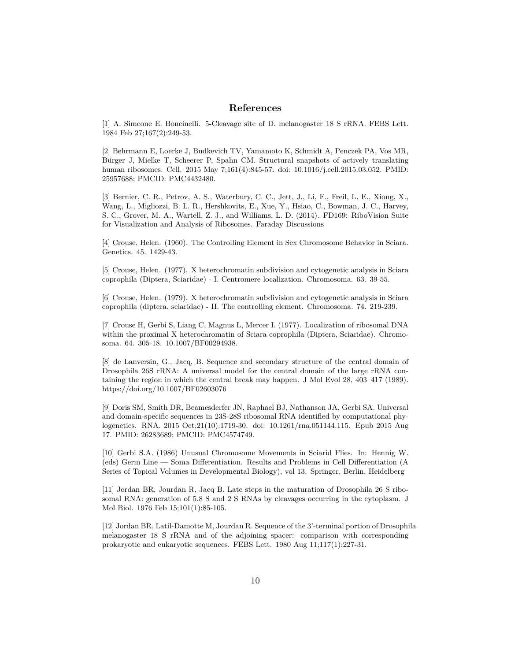#### **References**

[1] A. Simeone E. Boncinelli. 5-Cleavage site of D. melanogaster 18 S rRNA. FEBS Lett. 1984 Feb 27;167(2):249-53.

[2] Behrmann E, Loerke J, Budkevich TV, Yamamoto K, Schmidt A, Penczek PA, Vos MR, Bürger J, Mielke T, Scheerer P, Spahn CM. Structural snapshots of actively translating human ribosomes. Cell. 2015 May 7;161(4):845-57. doi: 10.1016/j.cell.2015.03.052. PMID: 25957688; PMCID: PMC4432480.

[3] Bernier, C. R., Petrov, A. S., Waterbury, C. C., Jett, J., Li, F., Freil, L. E., Xiong, X., Wang, L., Migliozzi, B. L. R., Hershkovits, E., Xue, Y., Hsiao, C., Bowman, J. C., Harvey, S. C., Grover, M. A., Wartell, Z. J., and Williams, L. D. (2014). FD169: RiboVision Suite for Visualization and Analysis of Ribosomes. Faraday Discussions

[4] Crouse, Helen. (1960). The Controlling Element in Sex Chromosome Behavior in Sciara. Genetics. 45. 1429-43.

[5] Crouse, Helen. (1977). X heterochromatin subdivision and cytogenetic analysis in Sciara coprophila (Diptera, Sciaridae) - I. Centromere localization. Chromosoma. 63. 39-55.

[6] Crouse, Helen. (1979). X heterochromatin subdivision and cytogenetic analysis in Sciara coprophila (diptera, sciaridae) - II. The controlling element. Chromosoma. 74. 219-239.

[7] Crouse H, Gerbi S, Liang C, Magnus L, Mercer I. (1977). Localization of ribosomal DNA within the proximal X heterochromatin of Sciara coprophila (Diptera, Sciaridae). Chromosoma. 64. 305-18. 10.1007/BF00294938.

[8] de Lanversin, G., Jacq, B. Sequence and secondary structure of the central domain of Drosophila 26S rRNA: A universal model for the central domain of the large rRNA containing the region in which the central break may happen. J Mol Evol 28, 403–417 (1989). https://doi.org/10.1007/BF02603076

[9] Doris SM, Smith DR, Beamesderfer JN, Raphael BJ, Nathanson JA, Gerbi SA. Universal and domain-specific sequences in 23S-28S ribosomal RNA identified by computational phylogenetics. RNA. 2015 Oct;21(10):1719-30. doi: 10.1261/rna.051144.115. Epub 2015 Aug 17. PMID: 26283689; PMCID: PMC4574749.

[10] Gerbi S.A. (1986) Unusual Chromosome Movements in Sciarid Flies. In: Hennig W. (eds) Germ Line — Soma Differentiation. Results and Problems in Cell Differentiation (A Series of Topical Volumes in Developmental Biology), vol 13. Springer, Berlin, Heidelberg

[11] Jordan BR, Jourdan R, Jacq B. Late steps in the maturation of Drosophila 26 S ribosomal RNA: generation of 5.8 S and 2 S RNAs by cleavages occurring in the cytoplasm. J Mol Biol. 1976 Feb 15;101(1):85-105.

[12] Jordan BR, Latil-Damotte M, Jourdan R. Sequence of the 3'-terminal portion of Drosophila melanogaster 18 S rRNA and of the adjoining spacer: comparison with corresponding prokaryotic and eukaryotic sequences. FEBS Lett. 1980 Aug 11;117(1):227-31.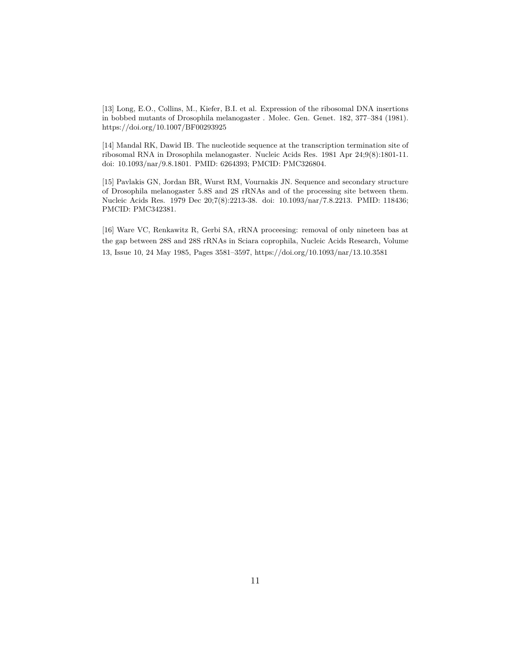[13] Long, E.O., Collins, M., Kiefer, B.I. et al. Expression of the ribosomal DNA insertions in bobbed mutants of Drosophila melanogaster . Molec. Gen. Genet. 182, 377–384 (1981). https://doi.org/10.1007/BF00293925

[14] Mandal RK, Dawid IB. The nucleotide sequence at the transcription termination site of ribosomal RNA in Drosophila melanogaster. Nucleic Acids Res. 1981 Apr 24;9(8):1801-11. doi: 10.1093/nar/9.8.1801. PMID: 6264393; PMCID: PMC326804.

[15] Pavlakis GN, Jordan BR, Wurst RM, Vournakis JN. Sequence and secondary structure of Drosophila melanogaster 5.8S and 2S rRNAs and of the processing site between them. Nucleic Acids Res. 1979 Dec 20;7(8):2213-38. doi: 10.1093/nar/7.8.2213. PMID: 118436; PMCID: PMC342381.

[16] Ware VC, Renkawitz R, Gerbi SA, rRNA proceesing: removal of only nineteen bas at the gap between 28S and 28S rRNAs in Sciara coprophila, Nucleic Acids Research, Volume 13, Issue 10, 24 May 1985, Pages 3581–3597, https://doi.org/10.1093/nar/13.10.3581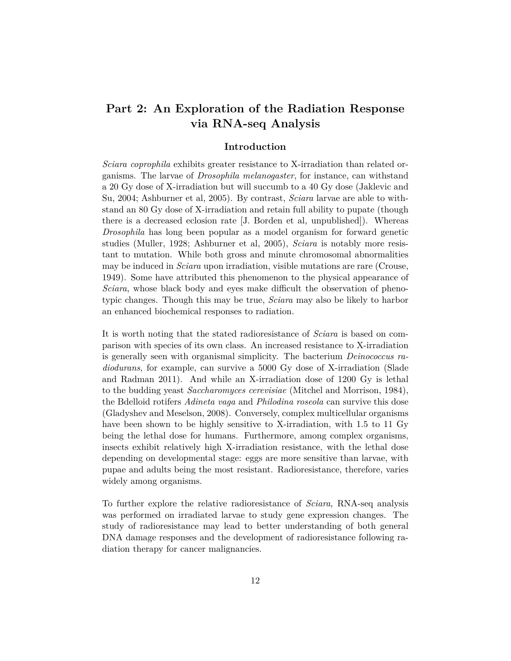## **Part 2: An Exploration of the Radiation Response via RNA-seq Analysis**

## **Introduction**

*Sciara coprophila* exhibits greater resistance to X-irradiation than related organisms. The larvae of *Drosophila melanogaster*, for instance, can withstand a 20 Gy dose of X-irradiation but will succumb to a 40 Gy dose (Jaklevic and Su, 2004; Ashburner et al, 2005). By contrast, *Sciara* larvae are able to withstand an 80 Gy dose of X-irradiation and retain full ability to pupate (though there is a decreased eclosion rate [J. Borden et al, unpublished]). Whereas *Drosophila* has long been popular as a model organism for forward genetic studies (Muller, 1928; Ashburner et al, 2005), *Sciara* is notably more resistant to mutation. While both gross and minute chromosomal abnormalities may be induced in *Sciara* upon irradiation, visible mutations are rare (Crouse, 1949). Some have attributed this phenomenon to the physical appearance of *Sciara*, whose black body and eyes make difficult the observation of phenotypic changes. Though this may be true, *Sciara* may also be likely to harbor an enhanced biochemical responses to radiation.

It is worth noting that the stated radioresistance of *Sciara* is based on comparison with species of its own class. An increased resistance to X-irradiation is generally seen with organismal simplicity. The bacterium *Deinococcus radiodurans*, for example, can survive a 5000 Gy dose of X-irradiation (Slade and Radman 2011). And while an X-irradiation dose of 1200 Gy is lethal to the budding yeast *Saccharomyces cerevisiae* (Mitchel and Morrison, 1984), the Bdelloid rotifers *Adineta vaga* and *Philodina roseola* can survive this dose (Gladyshev and Meselson, 2008). Conversely, complex multicellular organisms have been shown to be highly sensitive to X-irradiation, with 1.5 to 11 Gy being the lethal dose for humans. Furthermore, among complex organisms, insects exhibit relatively high X-irradiation resistance, with the lethal dose depending on developmental stage: eggs are more sensitive than larvae, with pupae and adults being the most resistant. Radioresistance, therefore, varies widely among organisms.

To further explore the relative radioresistance of *Sciara*, RNA-seq analysis was performed on irradiated larvae to study gene expression changes. The study of radioresistance may lead to better understanding of both general DNA damage responses and the development of radioresistance following radiation therapy for cancer malignancies.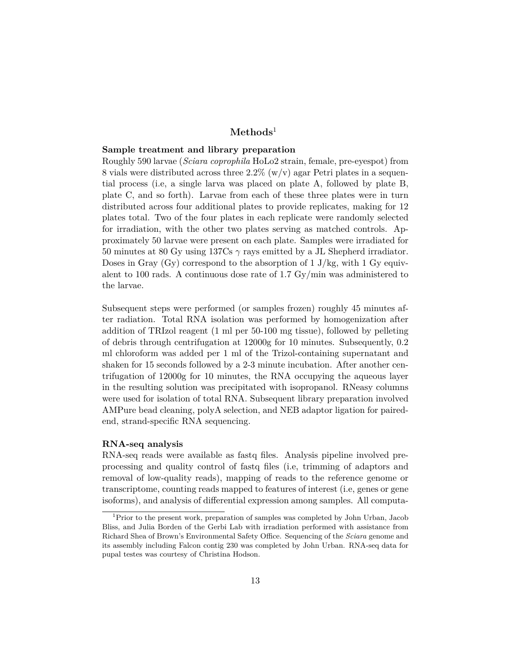## **Methods**<sup>1</sup>

#### **Sample treatment and library preparation**

Roughly 590 larvae (*Sciara coprophila* HoLo2 strain, female, pre-eyespot) from 8 vials were distributed across three  $2.2\%$  (w/v) agar Petri plates in a sequential process (i.e, a single larva was placed on plate A, followed by plate B, plate C, and so forth). Larvae from each of these three plates were in turn distributed across four additional plates to provide replicates, making for 12 plates total. Two of the four plates in each replicate were randomly selected for irradiation, with the other two plates serving as matched controls. Approximately 50 larvae were present on each plate. Samples were irradiated for 50 minutes at 80 Gy using 137Cs *γ* rays emitted by a JL Shepherd irradiator. Doses in Gray  $(Gy)$  correspond to the absorption of 1 J/kg, with 1 Gy equivalent to 100 rads. A continuous dose rate of 1.7 Gy/min was administered to the larvae.

Subsequent steps were performed (or samples frozen) roughly 45 minutes after radiation. Total RNA isolation was performed by homogenization after addition of TRIzol reagent (1 ml per 50-100 mg tissue), followed by pelleting of debris through centrifugation at 12000g for 10 minutes. Subsequently, 0.2 ml chloroform was added per 1 ml of the Trizol-containing supernatant and shaken for 15 seconds followed by a 2-3 minute incubation. After another centrifugation of 12000g for 10 minutes, the RNA occupying the aqueous layer in the resulting solution was precipitated with isopropanol. RNeasy columns were used for isolation of total RNA. Subsequent library preparation involved AMPure bead cleaning, polyA selection, and NEB adaptor ligation for pairedend, strand-specific RNA sequencing.

#### **RNA-seq analysis**

RNA-seq reads were available as fastq files. Analysis pipeline involved preprocessing and quality control of fastq files (i.e, trimming of adaptors and removal of low-quality reads), mapping of reads to the reference genome or transcriptome, counting reads mapped to features of interest (i.e, genes or gene isoforms), and analysis of differential expression among samples. All computa-

<sup>1</sup>Prior to the present work, preparation of samples was completed by John Urban, Jacob Bliss, and Julia Borden of the Gerbi Lab with irradiation performed with assistance from Richard Shea of Brown's Environmental Safety Office. Sequencing of the *Sciara* genome and its assembly including Falcon contig 230 was completed by John Urban. RNA-seq data for pupal testes was courtesy of Christina Hodson.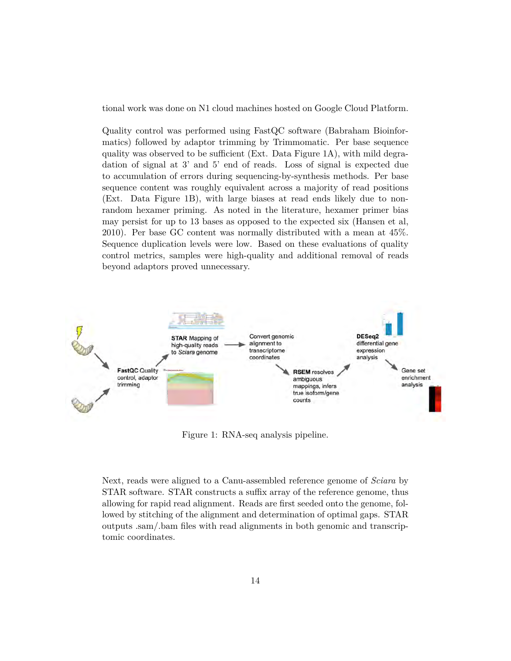tional work was done on N1 cloud machines hosted on Google Cloud Platform.

Quality control was performed using FastQC software (Babraham Bioinformatics) followed by adaptor trimming by Trimmomatic. Per base sequence quality was observed to be sufficient (Ext. Data Figure 1A), with mild degradation of signal at 3' and 5' end of reads. Loss of signal is expected due to accumulation of errors during sequencing-by-synthesis methods. Per base sequence content was roughly equivalent across a majority of read positions (Ext. Data Figure 1B), with large biases at read ends likely due to nonrandom hexamer priming. As noted in the literature, hexamer primer bias may persist for up to 13 bases as opposed to the expected six (Hansen et al, 2010). Per base GC content was normally distributed with a mean at 45%. Sequence duplication levels were low. Based on these evaluations of quality control metrics, samples were high-quality and additional removal of reads beyond adaptors proved unnecessary.



Figure 1: RNA-seq analysis pipeline.

Next, reads were aligned to a Canu-assembled reference genome of *Sciara* by STAR software. STAR constructs a suffix array of the reference genome, thus allowing for rapid read alignment. Reads are first seeded onto the genome, followed by stitching of the alignment and determination of optimal gaps. STAR outputs .sam/.bam files with read alignments in both genomic and transcriptomic coordinates.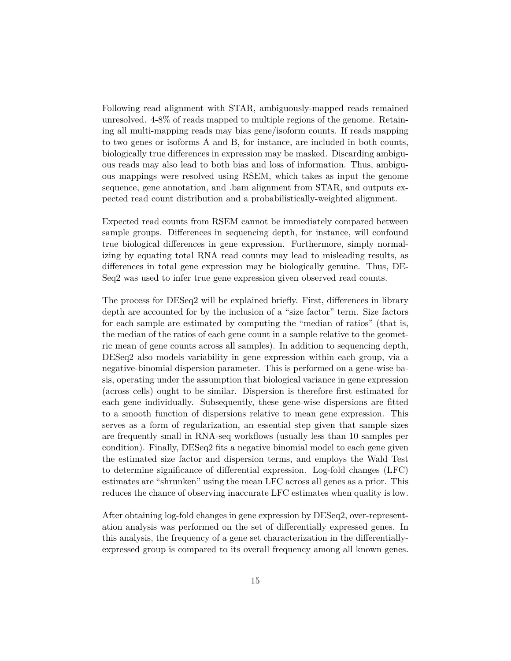Following read alignment with STAR, ambiguously-mapped reads remained unresolved. 4-8% of reads mapped to multiple regions of the genome. Retaining all multi-mapping reads may bias gene/isoform counts. If reads mapping to two genes or isoforms A and B, for instance, are included in both counts, biologically true differences in expression may be masked. Discarding ambiguous reads may also lead to both bias and loss of information. Thus, ambiguous mappings were resolved using RSEM, which takes as input the genome sequence, gene annotation, and .bam alignment from STAR, and outputs expected read count distribution and a probabilistically-weighted alignment.

Expected read counts from RSEM cannot be immediately compared between sample groups. Differences in sequencing depth, for instance, will confound true biological differences in gene expression. Furthermore, simply normalizing by equating total RNA read counts may lead to misleading results, as differences in total gene expression may be biologically genuine. Thus, DE-Seq2 was used to infer true gene expression given observed read counts.

The process for DESeq2 will be explained briefly. First, differences in library depth are accounted for by the inclusion of a "size factor" term. Size factors for each sample are estimated by computing the "median of ratios" (that is, the median of the ratios of each gene count in a sample relative to the geometric mean of gene counts across all samples). In addition to sequencing depth, DESeq2 also models variability in gene expression within each group, via a negative-binomial dispersion parameter. This is performed on a gene-wise basis, operating under the assumption that biological variance in gene expression (across cells) ought to be similar. Dispersion is therefore first estimated for each gene individually. Subsequently, these gene-wise dispersions are fitted to a smooth function of dispersions relative to mean gene expression. This serves as a form of regularization, an essential step given that sample sizes are frequently small in RNA-seq workflows (usually less than 10 samples per condition). Finally, DESeq2 fits a negative binomial model to each gene given the estimated size factor and dispersion terms, and employs the Wald Test to determine significance of differential expression. Log-fold changes (LFC) estimates are "shrunken" using the mean LFC across all genes as a prior. This reduces the chance of observing inaccurate LFC estimates when quality is low.

After obtaining log-fold changes in gene expression by DESeq2, over-representation analysis was performed on the set of differentially expressed genes. In this analysis, the frequency of a gene set characterization in the differentiallyexpressed group is compared to its overall frequency among all known genes.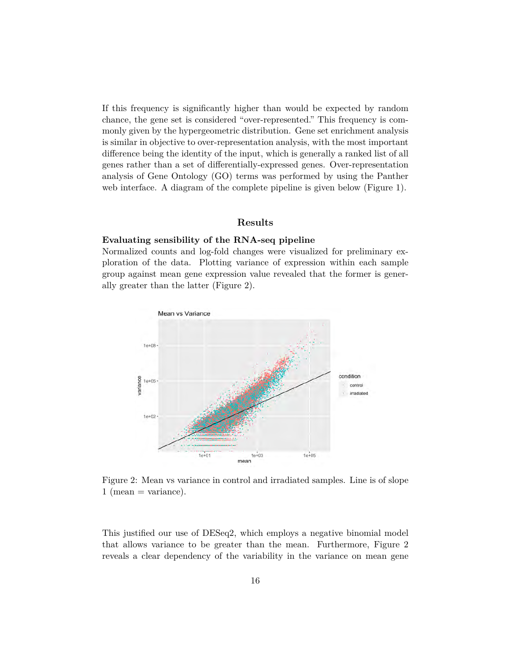If this frequency is significantly higher than would be expected by random chance, the gene set is considered "over-represented." This frequency is commonly given by the hypergeometric distribution. Gene set enrichment analysis is similar in objective to over-representation analysis, with the most important difference being the identity of the input, which is generally a ranked list of all genes rather than a set of differentially-expressed genes. Over-representation analysis of Gene Ontology (GO) terms was performed by using the Panther web interface. A diagram of the complete pipeline is given below (Figure 1).

## **Results**

#### **Evaluating sensibility of the RNA-seq pipeline**

Normalized counts and log-fold changes were visualized for preliminary exploration of the data. Plotting variance of expression within each sample group against mean gene expression value revealed that the former is generally greater than the latter (Figure 2).



Figure 2: Mean vs variance in control and irradiated samples. Line is of slope  $1 \text{ (mean} = \text{variance}).$ 

This justified our use of DESeq2, which employs a negative binomial model that allows variance to be greater than the mean. Furthermore, Figure 2 reveals a clear dependency of the variability in the variance on mean gene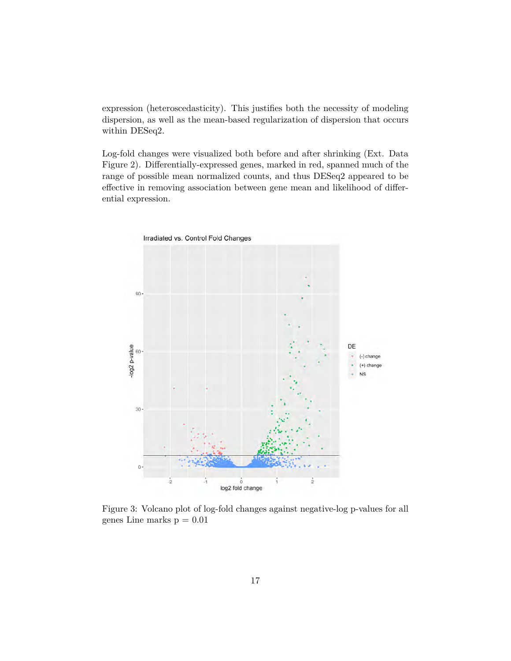expression (heteroscedasticity). This justifies both the necessity of modeling dispersion, as well as the mean-based regularization of dispersion that occurs within DESeq2.

Log-fold changes were visualized both before and after shrinking (Ext. Data Figure 2). Differentially-expressed genes, marked in red, spanned much of the range of possible mean normalized counts, and thus DESeq2 appeared to be effective in removing association between gene mean and likelihood of differential expression.



Figure 3: Volcano plot of log-fold changes against negative-log p-values for all genes Line marks  $p = 0.01$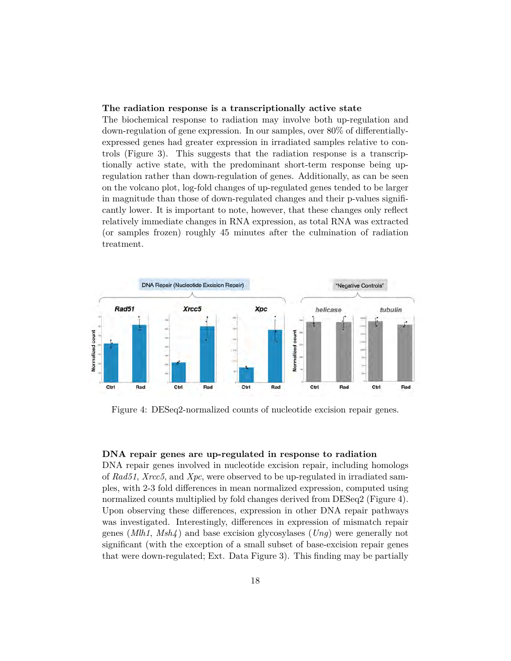#### **The radiation response is a transcriptionally active state**

The biochemical response to radiation may involve both up-regulation and down-regulation of gene expression. In our samples, over 80% of differentiallyexpressed genes had greater expression in irradiated samples relative to controls (Figure 3). This suggests that the radiation response is a transcriptionally active state, with the predominant short-term response being upregulation rather than down-regulation of genes. Additionally, as can be seen on the volcano plot, log-fold changes of up-regulated genes tended to be larger in magnitude than those of down-regulated changes and their p-values significantly lower. It is important to note, however, that these changes only reflect relatively immediate changes in RNA expression, as total RNA was extracted (or samples frozen) roughly 45 minutes after the culmination of radiation treatment.



Figure 4: DESeq2-normalized counts of nucleotide excision repair genes.

## **DNA repair genes are up-regulated in response to radiation**

DNA repair genes involved in nucleotide excision repair, including homologs of *Rad51*, *Xrcc5*, and *Xpc*, were observed to be up-regulated in irradiated samples, with 2-3 fold differences in mean normalized expression, computed using normalized counts multiplied by fold changes derived from DESeq2 (Figure 4). Upon observing these differences, expression in other DNA repair pathways was investigated. Interestingly, differences in expression of mismatch repair genes (*Mlh1*, *Msh4* ) and base excision glycosylases (*Ung*) were generally not significant (with the exception of a small subset of base-excision repair genes that were down-regulated; Ext. Data Figure 3). This finding may be partially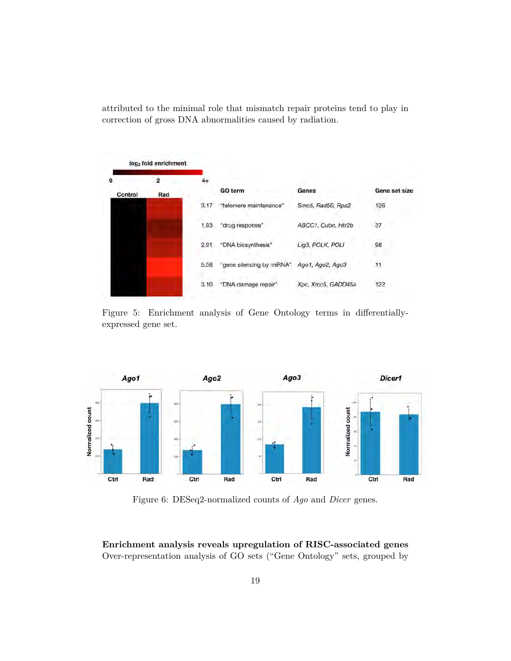attributed to the minimal role that mismatch repair proteins tend to play in correction of gross DNA abnormalities caused by radiation.



Figure 5: Enrichment analysis of Gene Ontology terms in differentiallyexpressed gene set.



Figure 6: DESeq2-normalized counts of *Ago* and *Dicer* genes.

**Enrichment analysis reveals upregulation of RISC-associated genes** Over-representation analysis of GO sets ("Gene Ontology" sets, grouped by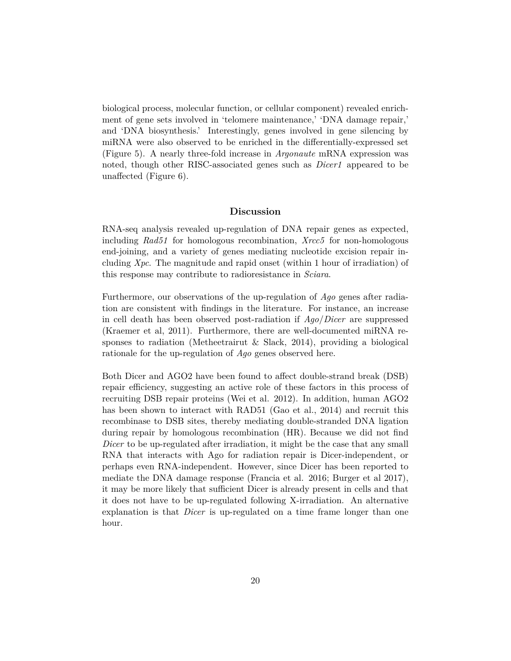biological process, molecular function, or cellular component) revealed enrichment of gene sets involved in 'telomere maintenance,' 'DNA damage repair,' and 'DNA biosynthesis.' Interestingly, genes involved in gene silencing by miRNA were also observed to be enriched in the differentially-expressed set (Figure 5). A nearly three-fold increase in *Argonaute* mRNA expression was noted, though other RISC-associated genes such as *Dicer1* appeared to be unaffected (Figure 6).

#### **Discussion**

RNA-seq analysis revealed up-regulation of DNA repair genes as expected, including *Rad51* for homologous recombination, *Xrcc5* for non-homologous end-joining, and a variety of genes mediating nucleotide excision repair including *Xpc*. The magnitude and rapid onset (within 1 hour of irradiation) of this response may contribute to radioresistance in *Sciara*.

Furthermore, our observations of the up-regulation of *Ago* genes after radiation are consistent with findings in the literature. For instance, an increase in cell death has been observed post-radiation if *Ago*/*Dicer* are suppressed (Kraemer et al, 2011). Furthermore, there are well-documented miRNA responses to radiation (Metheetrairut & Slack, 2014), providing a biological rationale for the up-regulation of *Ago* genes observed here.

Both Dicer and AGO2 have been found to affect double-strand break (DSB) repair efficiency, suggesting an active role of these factors in this process of recruiting DSB repair proteins (Wei et al. 2012). In addition, human AGO2 has been shown to interact with RAD51 (Gao et al., 2014) and recruit this recombinase to DSB sites, thereby mediating double-stranded DNA ligation during repair by homologous recombination (HR). Because we did not find *Dicer* to be up-regulated after irradiation, it might be the case that any small RNA that interacts with Ago for radiation repair is Dicer-independent, or perhaps even RNA-independent. However, since Dicer has been reported to mediate the DNA damage response (Francia et al. 2016; Burger et al 2017), it may be more likely that sufficient Dicer is already present in cells and that it does not have to be up-regulated following X-irradiation. An alternative explanation is that *Dicer* is up-regulated on a time frame longer than one hour.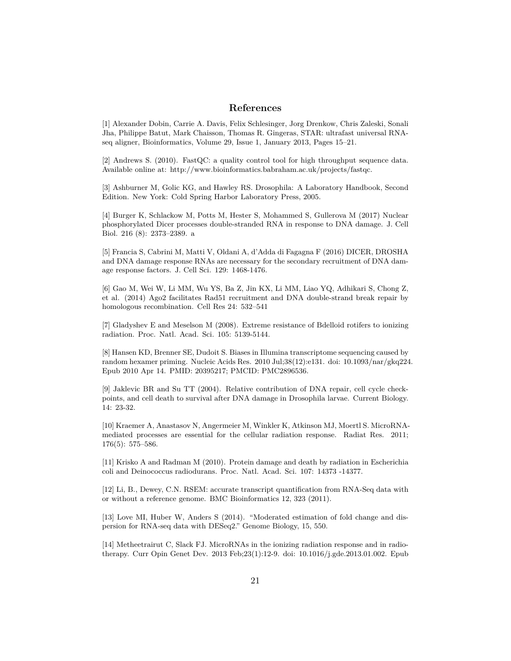#### **References**

[1] Alexander Dobin, Carrie A. Davis, Felix Schlesinger, Jorg Drenkow, Chris Zaleski, Sonali Jha, Philippe Batut, Mark Chaisson, Thomas R. Gingeras, STAR: ultrafast universal RNAseq aligner, Bioinformatics, Volume 29, Issue 1, January 2013, Pages 15–21.

[2] Andrews S. (2010). FastQC: a quality control tool for high throughput sequence data. Available online at: http://www.bioinformatics.babraham.ac.uk/projects/fastqc.

[3] Ashburner M, Golic KG, and Hawley RS. Drosophila: A Laboratory Handbook, Second Edition. New York: Cold Spring Harbor Laboratory Press, 2005.

[4] Burger K, Schlackow M, Potts M, Hester S, Mohammed S, Gullerova M (2017) Nuclear phosphorylated Dicer processes double-stranded RNA in response to DNA damage. J. Cell Biol. 216 (8): 2373–2389. a

[5] Francia S, Cabrini M, Matti V, Oldani A, d'Adda di Fagagna F (2016) DICER, DROSHA and DNA damage response RNAs are necessary for the secondary recruitment of DNA damage response factors. J. Cell Sci. 129: 1468-1476.

[6] Gao M, Wei W, Li MM, Wu YS, Ba Z, Jin KX, Li MM, Liao YQ, Adhikari S, Chong Z, et al. (2014) Ago2 facilitates Rad51 recruitment and DNA double-strand break repair by homologous recombination. Cell Res 24: 532–541

[7] Gladyshev E and Meselson M (2008). Extreme resistance of Bdelloid rotifers to ionizing radiation. Proc. Natl. Acad. Sci. 105: 5139-5144.

[8] Hansen KD, Brenner SE, Dudoit S. Biases in Illumina transcriptome sequencing caused by random hexamer priming. Nucleic Acids Res. 2010 Jul;38(12):e131. doi: 10.1093/nar/gkq224. Epub 2010 Apr 14. PMID: 20395217; PMCID: PMC2896536.

[9] Jaklevic BR and Su TT (2004). Relative contribution of DNA repair, cell cycle checkpoints, and cell death to survival after DNA damage in Drosophila larvae. Current Biology. 14: 23-32.

[10] Kraemer A, Anastasov N, Angermeier M, Winkler K, Atkinson MJ, Moertl S. MicroRNAmediated processes are essential for the cellular radiation response. Radiat Res. 2011; 176(5): 575–586.

[11] Krisko A and Radman M (2010). Protein damage and death by radiation in Escherichia coli and Deinococcus radiodurans. Proc. Natl. Acad. Sci. 107: 14373 -14377.

[12] Li, B., Dewey, C.N. RSEM: accurate transcript quantification from RNA-Seq data with or without a reference genome. BMC Bioinformatics 12, 323 (2011).

[13] Love MI, Huber W, Anders S (2014). "Moderated estimation of fold change and dispersion for RNA-seq data with DESeq2." Genome Biology, 15, 550.

[14] Metheetrairut C, Slack FJ. MicroRNAs in the ionizing radiation response and in radiotherapy. Curr Opin Genet Dev. 2013 Feb;23(1):12-9. doi: 10.1016/j.gde.2013.01.002. Epub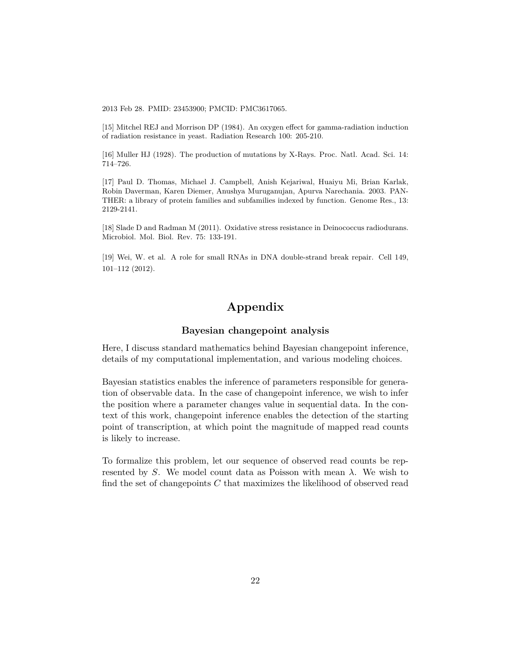2013 Feb 28. PMID: 23453900; PMCID: PMC3617065.

[15] Mitchel REJ and Morrison DP (1984). An oxygen effect for gamma-radiation induction of radiation resistance in yeast. Radiation Research 100: 205-210.

[16] Muller HJ (1928). The production of mutations by X-Rays. Proc. Natl. Acad. Sci. 14: 714–726.

[17] Paul D. Thomas, Michael J. Campbell, Anish Kejariwal, Huaiyu Mi, Brian Karlak, Robin Daverman, Karen Diemer, Anushya Muruganujan, Apurva Narechania. 2003. PAN-THER: a library of protein families and subfamilies indexed by function. Genome Res., 13: 2129-2141.

[18] Slade D and Radman M (2011). Oxidative stress resistance in Deinococcus radiodurans. Microbiol. Mol. Biol. Rev. 75: 133-191.

[19] Wei, W. et al. A role for small RNAs in DNA double-strand break repair. Cell 149, 101–112 (2012).

## **Appendix**

#### **Bayesian changepoint analysis**

Here, I discuss standard mathematics behind Bayesian changepoint inference, details of my computational implementation, and various modeling choices.

Bayesian statistics enables the inference of parameters responsible for generation of observable data. In the case of changepoint inference, we wish to infer the position where a parameter changes value in sequential data. In the context of this work, changepoint inference enables the detection of the starting point of transcription, at which point the magnitude of mapped read counts is likely to increase.

To formalize this problem, let our sequence of observed read counts be represented by *S*. We model count data as Poisson with mean *λ*. We wish to find the set of changepoints *C* that maximizes the likelihood of observed read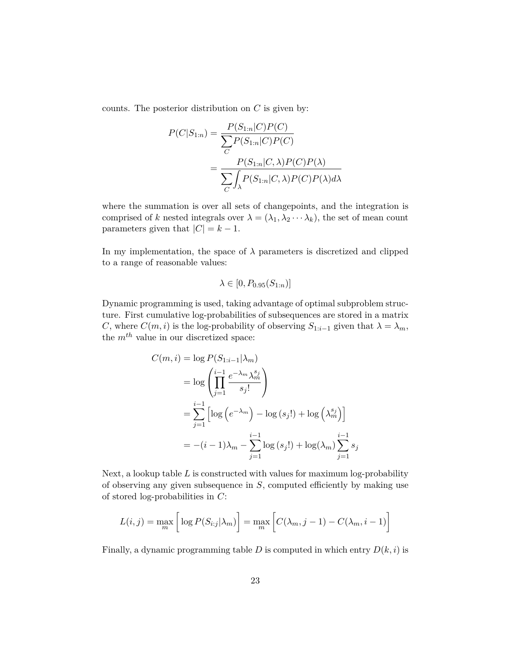counts. The posterior distribution on *C* is given by:

$$
P(C|S_{1:n}) = \frac{P(S_{1:n}|C)P(C)}{\sum_{C} P(S_{1:n}|C)P(C)}
$$

$$
= \frac{P(S_{1:n}|C,\lambda)P(C)P(\lambda)}{\sum_{C} \int_{\lambda} P(S_{1:n}|C,\lambda)P(C)P(\lambda)d\lambda}
$$

where the summation is over all sets of changepoints, and the integration is comprised of *k* nested integrals over  $\lambda = (\lambda_1, \lambda_2 \cdots \lambda_k)$ , the set of mean count parameters given that  $|C| = k - 1$ .

In my implementation, the space of  $\lambda$  parameters is discretized and clipped to a range of reasonable values:

$$
\lambda \in [0, P_{0.95}(S_{1:n})]
$$

Dynamic programming is used, taking advantage of optimal subproblem structure. First cumulative log-probabilities of subsequences are stored in a matrix *C*, where  $C(m, i)$  is the log-probability of observing  $S_{1:i-1}$  given that  $\lambda = \lambda_m$ , the *mth* value in our discretized space:

$$
C(m,i) = \log P(S_{1:i-1}|\lambda_m)
$$
  
= 
$$
\log \left(\prod_{j=1}^{i-1} \frac{e^{-\lambda_m} \lambda_m^{s_j}}{s_j!} \right)
$$
  
= 
$$
\sum_{j=1}^{i-1} \left[ \log \left( e^{-\lambda_m} \right) - \log \left( s_j! \right) + \log \left( \lambda_m^{s_j} \right) \right]
$$
  
= 
$$
-(i-1)\lambda_m - \sum_{j=1}^{i-1} \log \left( s_j! \right) + \log \left( \lambda_m \right) \sum_{j=1}^{i-1} s_j
$$

Next, a lookup table *L* is constructed with values for maximum log-probability of observing any given subsequence in *S*, computed efficiently by making use of stored log-probabilities in *C*:

$$
L(i,j) = \max_{m} \left[ \log P(S_{i:j}|\lambda_m) \right] = \max_{m} \left[ C(\lambda_m, j-1) - C(\lambda_m, i-1) \right]
$$

Finally, a dynamic programming table  $D$  is computed in which entry  $D(k, i)$  is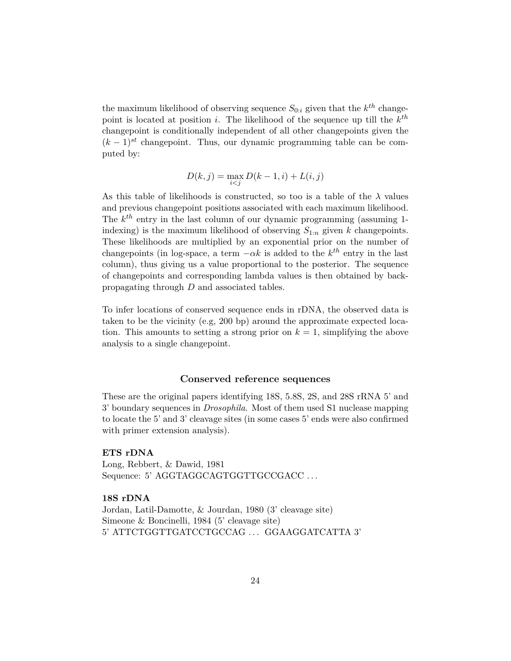the maximum likelihood of observing sequence  $S_{0:i}$  given that the  $k^{th}$  changepoint is located at position *i*. The likelihood of the sequence up till the *k th* changepoint is conditionally independent of all other changepoints given the  $(k-1)^{st}$  changepoint. Thus, our dynamic programming table can be computed by:

$$
D(k, j) = \max_{i < j} D(k - 1, i) + L(i, j)
$$

As this table of likelihoods is constructed, so too is a table of the  $\lambda$  values and previous changepoint positions associated with each maximum likelihood. The  $k^{th}$  entry in the last column of our dynamic programming (assuming 1indexing) is the maximum likelihood of observing  $S_{1:n}$  given *k* changepoints. These likelihoods are multiplied by an exponential prior on the number of changepoints (in log-space, a term  $-\alpha k$  is added to the  $k^{th}$  entry in the last column), thus giving us a value proportional to the posterior. The sequence of changepoints and corresponding lambda values is then obtained by backpropagating through *D* and associated tables.

To infer locations of conserved sequence ends in rDNA, the observed data is taken to be the vicinity (e.g, 200 bp) around the approximate expected location. This amounts to setting a strong prior on *k* = 1, simplifying the above analysis to a single changepoint.

#### **Conserved reference sequences**

These are the original papers identifying 18S, 5.8S, 2S, and 28S rRNA 5' and 3' boundary sequences in *Drosophila*. Most of them used S1 nuclease mapping to locate the 5' and 3' cleavage sites (in some cases 5' ends were also confirmed with primer extension analysis).

#### **ETS rDNA**

Long, Rebbert, & Dawid, 1981 Sequence: 5' AGGTAGGCAGTGGTTGCCGACC ...

## **18S rDNA**

Jordan, Latil-Damotte, & Jourdan, 1980 (3' cleavage site) Simeone & Boncinelli, 1984 (5' cleavage site) 5' ATTCTGGTTGATCCTGCCAG . . . GGAAGGATCATTA 3'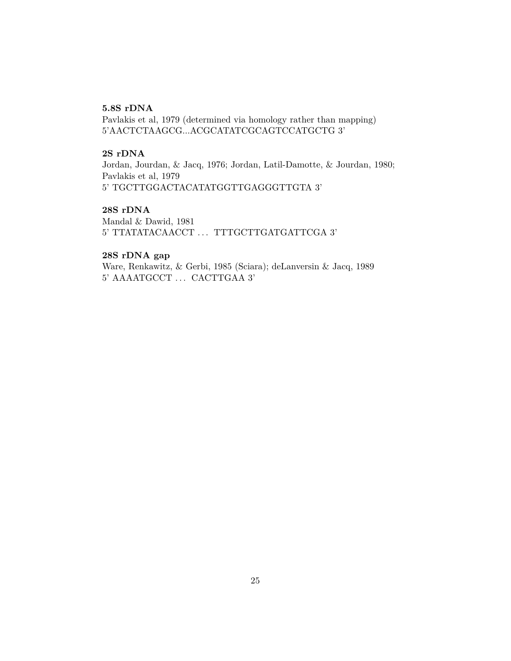#### **5.8S rDNA**

Pavlakis et al, 1979 (determined via homology rather than mapping) 5'AACTCTAAGCG...ACGCATATCGCAGTCCATGCTG 3'

## **2S rDNA**

Jordan, Jourdan, & Jacq, 1976; Jordan, Latil-Damotte, & Jourdan, 1980; Pavlakis et al, 1979 5' TGCTTGGACTACATATGGTTGAGGGTTGTA 3'

#### **28S rDNA**

Mandal & Dawid, 1981 5' TTATATACAACCT . . . TTTGCTTGATGATTCGA 3'

## **28S rDNA gap**

Ware, Renkawitz, & Gerbi, 1985 (Sciara); deLanversin & Jacq, 1989 5' AAAATGCCT . . . CACTTGAA 3'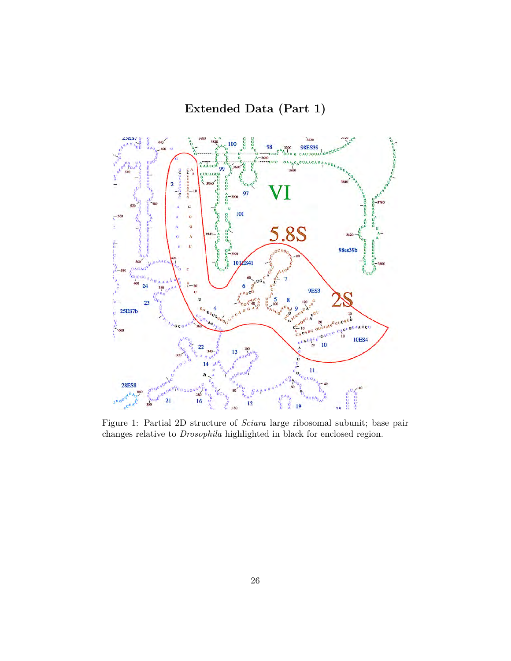**Extended Data (Part 1)**



Figure 1: Partial 2D structure of *Sciara* large ribosomal subunit; base pair changes relative to *Drosophila* highlighted in black for enclosed region.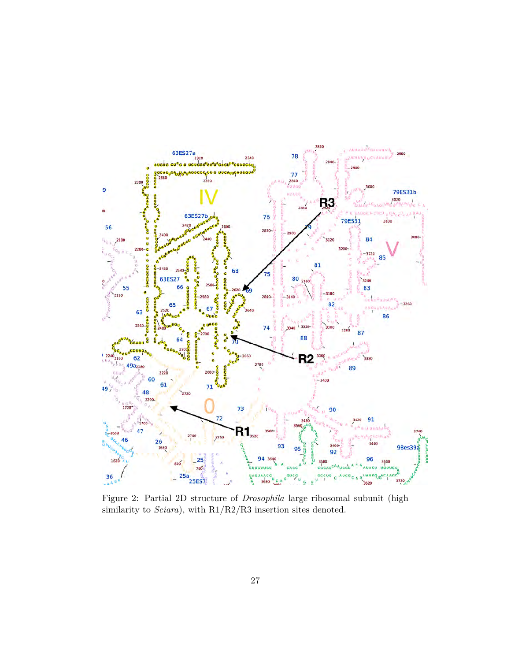

Figure 2: Partial 2D structure of *Drosophila* large ribosomal subunit (high similarity to *Sciara*), with R1/R2/R3 insertion sites denoted.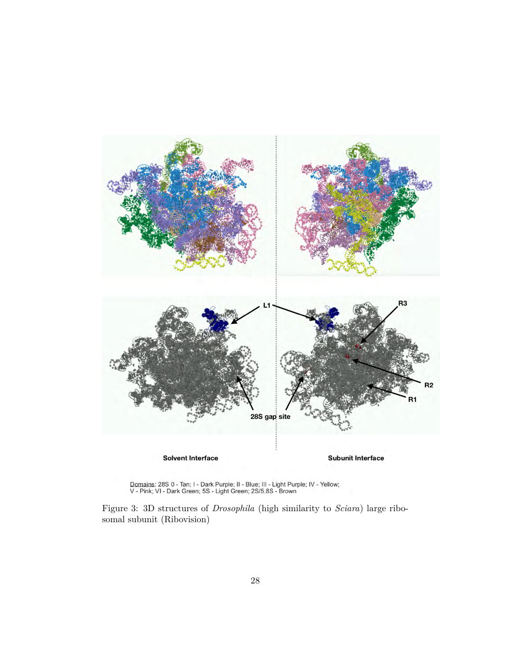

Domains: 28S 0 - Tan; I - Dark Purple; II - Blue; III - Light Purple; IV - Yellow; V - Pink; VI - Dark Green; 5S - Light Green; 2S/5.8S - Brown

Figure 3: 3D structures of *Drosophila* (high similarity to *Sciara*) large ribosomal subunit (Ribovision)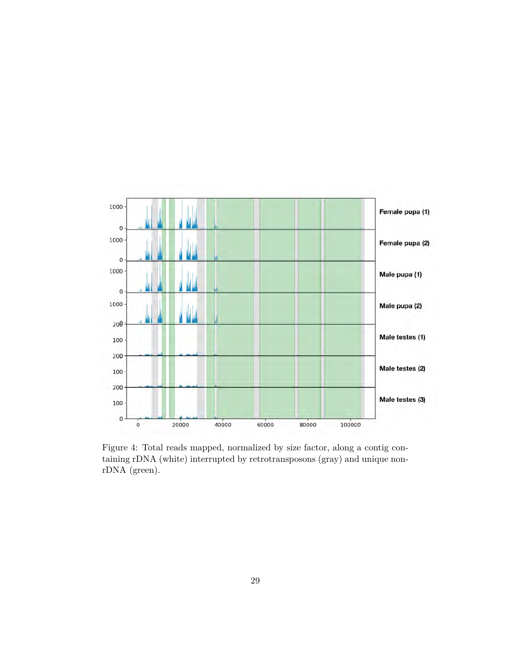

Figure 4: Total reads mapped, normalized by size factor, along a contig containing rDNA (white) interrupted by retrotransposons (gray) and unique nonrDNA (green).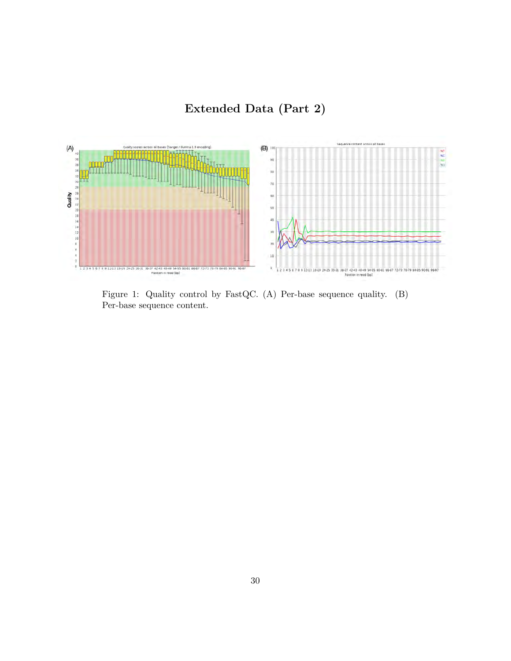**Extended Data (Part 2)**



Figure 1: Quality control by FastQC. (A) Per-base sequence quality. (B) Per-base sequence content.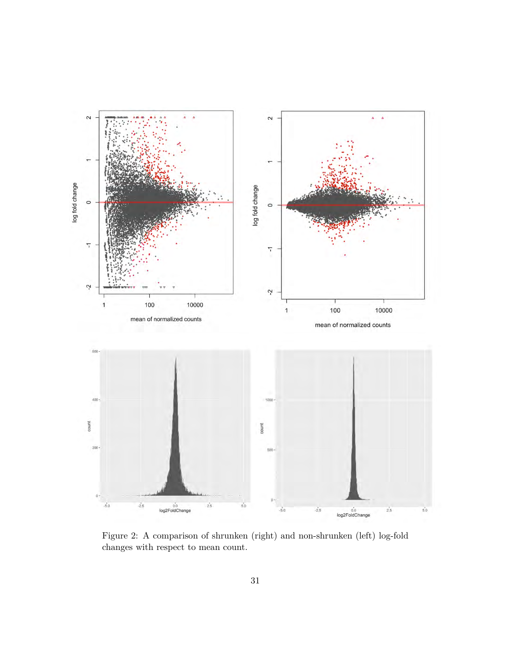

Figure 2: A comparison of shrunken (right) and non-shrunken (left) log-fold changes with respect to mean count.